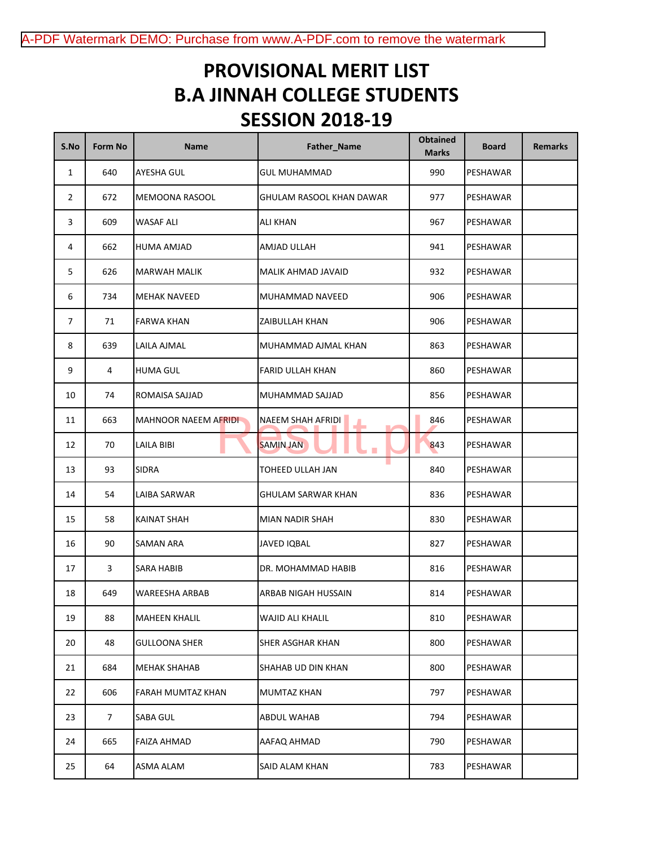## **SESSION 2018-19 B.A JINNAH COLLEGE STUDENTS PROVISIONAL MERIT LIST**

| S.No           | Form No        | <b>Name</b>                  | Father_Name               | <b>Obtained</b><br><b>Marks</b> | <b>Board</b> | <b>Remarks</b> |
|----------------|----------------|------------------------------|---------------------------|---------------------------------|--------------|----------------|
| $\mathbf{1}$   | 640            | AYESHA GUL                   | <b>GUL MUHAMMAD</b>       | 990                             | PESHAWAR     |                |
| 2              | 672            | MEMOONA RASOOL               | GHULAM RASOOL KHAN DAWAR  | 977                             | PESHAWAR     |                |
| 3              | 609            | <b>WASAF ALI</b>             | <b>ALI KHAN</b>           | 967                             | PESHAWAR     |                |
| 4              | 662            | HUMA AMJAD                   | AMJAD ULLAH               | 941                             | PESHAWAR     |                |
| 5              | 626            | MARWAH MALIK                 | MALIK AHMAD JAVAID        | 932                             | PESHAWAR     |                |
| 6              | 734            | MEHAK NAVEED                 | MUHAMMAD NAVEED           | 906                             | PESHAWAR     |                |
| $\overline{7}$ | 71             | FARWA KHAN                   | ZAIBULLAH KHAN            | 906                             | PESHAWAR     |                |
| 8              | 639            | LAILA AJMAL                  | MUHAMMAD AJMAL KHAN       | 863                             | PESHAWAR     |                |
| 9              | 4              | <b>HUMA GUL</b>              | <b>FARID ULLAH KHAN</b>   | 860                             | PESHAWAR     |                |
| 10             | 74             | ROMAISA SAJJAD               | MUHAMMAD SAJJAD           | 856                             | PESHAWAR     |                |
| 11             | 663            | <b>MAHNOOR NAEEM AFRIDIN</b> | <b>NAEEM SHAH AFRIDI</b>  | 846                             | PESHAWAR     |                |
| 12             | 70             | <b>LAILA BIBI</b>            | <b>SAMIN JAN</b>          | 843                             | PESHAWAR     |                |
| 13             | 93             | <b>SIDRA</b>                 | TOHEED ULLAH JAN          | 840                             | PESHAWAR     |                |
| 14             | 54             | LAIBA SARWAR                 | <b>GHULAM SARWAR KHAN</b> | 836                             | PESHAWAR     |                |
| 15             | 58             | KAINAT SHAH                  | <b>MIAN NADIR SHAH</b>    | 830                             | PESHAWAR     |                |
| 16             | 90             | <b>SAMAN ARA</b>             | <b>JAVED IQBAL</b>        | 827                             | PESHAWAR     |                |
| 17             | 3              | SARA HABIB                   | DR. MOHAMMAD HABIB        | 816                             | PESHAWAR     |                |
| 18             | 649            | <b>WAREESHA ARBAB</b>        | ARBAB NIGAH HUSSAIN       | 814                             | PESHAWAR     |                |
| 19             | 88             | <b>MAHEEN KHALIL</b>         | WAJID ALI KHALIL          | 810                             | PESHAWAR     |                |
| 20             | 48             | <b>GULLOONA SHER</b>         | SHER ASGHAR KHAN          | 800                             | PESHAWAR     |                |
| 21             | 684            | MEHAK SHAHAB                 | SHAHAB UD DIN KHAN        | 800                             | PESHAWAR     |                |
| 22             | 606            | FARAH MUMTAZ KHAN            | MUMTAZ KHAN               | 797                             | PESHAWAR     |                |
| 23             | 7 <sup>7</sup> | <b>SABA GUL</b>              | ABDUL WAHAB               | 794                             | PESHAWAR     |                |
| 24             | 665            | <b>FAIZA AHMAD</b>           | AAFAQ AHMAD               | 790                             | PESHAWAR     |                |
| 25             | 64             | ASMA ALAM                    | SAID ALAM KHAN            | 783                             | PESHAWAR     |                |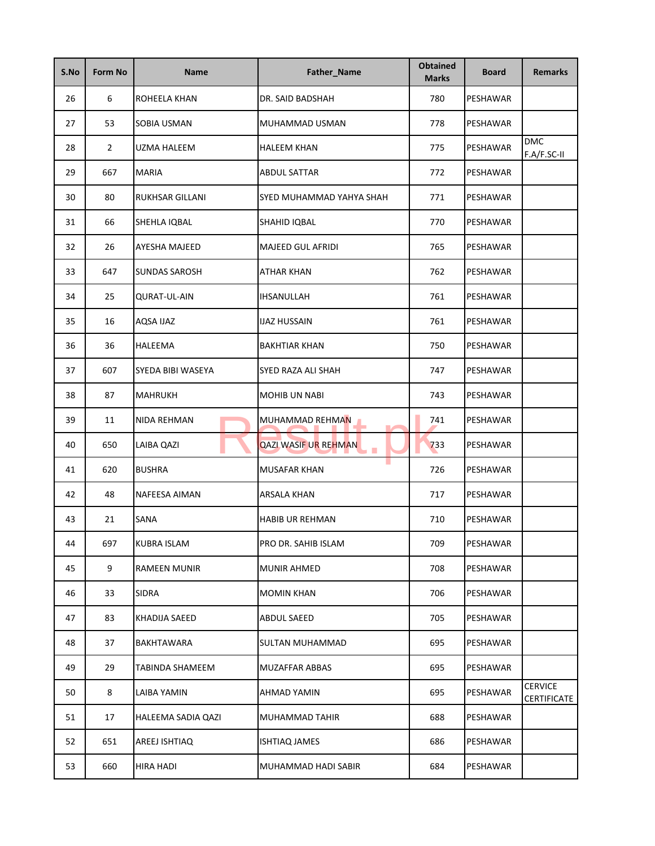| S.No | Form No        | <b>Name</b>            | <b>Father_Name</b>          | <b>Obtained</b><br><b>Marks</b> | <b>Board</b> | <b>Remarks</b>                       |
|------|----------------|------------------------|-----------------------------|---------------------------------|--------------|--------------------------------------|
| 26   | 6              | ROHEELA KHAN           | DR. SAID BADSHAH            | 780                             | PESHAWAR     |                                      |
| 27   | 53             | SOBIA USMAN            | MUHAMMAD USMAN              | 778                             | PESHAWAR     |                                      |
| 28   | $\overline{2}$ | UZMA HALEEM            | HALEEM KHAN                 | 775                             | PESHAWAR     | <b>DMC</b><br>F.A/F.SC-II            |
| 29   | 667            | <b>MARIA</b>           | ABDUL SATTAR                | 772                             | PESHAWAR     |                                      |
| 30   | 80             | RUKHSAR GILLANI        | SYED MUHAMMAD YAHYA SHAH    | 771                             | PESHAWAR     |                                      |
| 31   | 66             | SHEHLA IQBAL           | SHAHID IQBAL                | 770                             | PESHAWAR     |                                      |
| 32   | 26             | AYESHA MAJEED          | <b>MAJEED GUL AFRIDI</b>    | 765                             | PESHAWAR     |                                      |
| 33   | 647            | <b>SUNDAS SAROSH</b>   | <b>ATHAR KHAN</b>           | 762                             | PESHAWAR     |                                      |
| 34   | 25             | <b>QURAT-UL-AIN</b>    | IHSANULLAH                  | 761                             | PESHAWAR     |                                      |
| 35   | 16             | AQSA IJAZ              | IJAZ HUSSAIN                | 761                             | PESHAWAR     |                                      |
| 36   | 36             | HALEEMA                | <b>BAKHTIAR KHAN</b>        | 750                             | PESHAWAR     |                                      |
| 37   | 607            | SYEDA BIBI WASEYA      | SYED RAZA ALI SHAH          | 747                             | PESHAWAR     |                                      |
| 38   | 87             | <b>MAHRUKH</b>         | <b>MOHIB UN NABI</b>        | 743                             | PESHAWAR     |                                      |
| 39   | 11             | NIDA REHMAN            | MUHAMMAD REHMAN             | 741                             | PESHAWAR     |                                      |
| 40   | 650            | LAIBA QAZI             | <b>QAZI WASIF UR REHMAN</b> | 733                             | PESHAWAR     |                                      |
| 41   | 620            | <b>BUSHRA</b>          | ٠<br><b>MUSAFAR KHAN</b>    | 726                             | PESHAWAR     |                                      |
| 42   | 48             | NAFEESA AIMAN          | <b>ARSALA KHAN</b>          | 717                             | PESHAWAR     |                                      |
| 43   | 21             | SANA                   | <b>HABIB UR REHMAN</b>      | 710                             | PESHAWAR     |                                      |
| 44   | 697            | KUBRA ISLAM            | PRO DR. SAHIB ISLAM         | 709                             | PESHAWAR     |                                      |
| 45   | 9              | <b>RAMEEN MUNIR</b>    | <b>MUNIR AHMED</b>          | 708                             | PESHAWAR     |                                      |
| 46   | 33             | SIDRA                  | <b>MOMIN KHAN</b>           | 706                             | PESHAWAR     |                                      |
| 47   | 83             | KHADIJA SAEED          | <b>ABDUL SAEED</b>          | 705                             | PESHAWAR     |                                      |
| 48   | 37             | BAKHTAWARA             | SULTAN MUHAMMAD             | 695                             | PESHAWAR     |                                      |
| 49   | 29             | <b>TABINDA SHAMEEM</b> | <b>MUZAFFAR ABBAS</b>       | 695                             | PESHAWAR     |                                      |
| 50   | 8              | LAIBA YAMIN            | AHMAD YAMIN                 | 695                             | PESHAWAR     | <b>CERVICE</b><br><b>CERTIFICATE</b> |
| 51   | 17             | HALEEMA SADIA QAZI     | MUHAMMAD TAHIR              | 688                             | PESHAWAR     |                                      |
| 52   | 651            | AREEJ ISHTIAQ          | <b>ISHTIAQ JAMES</b>        | 686                             | PESHAWAR     |                                      |
| 53   | 660            | <b>HIRA HADI</b>       | MUHAMMAD HADI SABIR         | 684                             | PESHAWAR     |                                      |